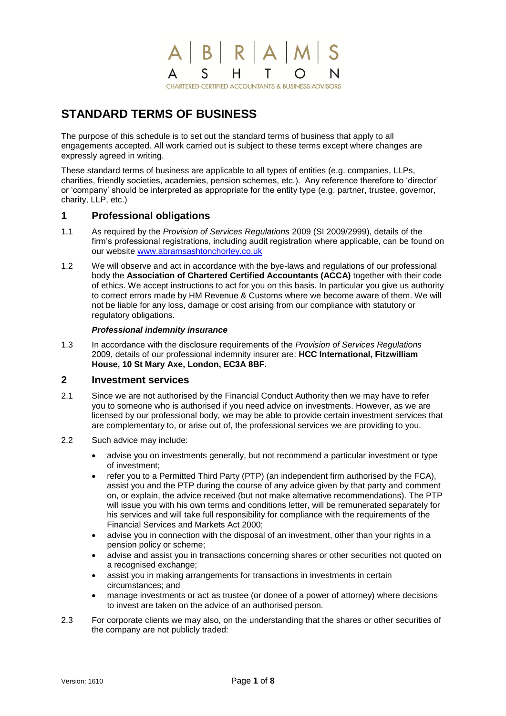#### ABRAW <sub>S</sub> H.  $\Delta$ T N **CHARTERED CERTIFIED ACCOUNTANTS & BUSINESS ADVISORS**

# **STANDARD TERMS OF BUSINESS**

The purpose of this schedule is to set out the standard terms of business that apply to all engagements accepted. All work carried out is subject to these terms except where changes are expressly agreed in writing.

These standard terms of business are applicable to all types of entities (e.g. companies, LLPs, charities, friendly societies, academies, pension schemes, etc.). Any reference therefore to 'director' or 'company' should be interpreted as appropriate for the entity type (e.g. partner, trustee, governor, charity, LLP, etc.)

# **1 Professional obligations**

- 1.1 As required by the *Provision of Services Regulations* 2009 (SI 2009/2999), details of the firm's professional registrations, including audit registration where applicable, can be found on our website [www.abramsashtonchorley.co.uk](http://www.abramsashtonchorley.co.uk/)
- 1.2 We will observe and act in accordance with the bye-laws and regulations of our professional body the **Association of Chartered Certified Accountants (ACCA)** together with their code of ethics. We accept instructions to act for you on this basis. In particular you give us authority to correct errors made by HM Revenue & Customs where we become aware of them. We will not be liable for any loss, damage or cost arising from our compliance with statutory or regulatory obligations.

#### *Professional indemnity insurance*

1.3 In accordance with the disclosure requirements of the *Provision of Services Regulations* 2009, details of our professional indemnity insurer are: **HCC International, Fitzwilliam House, 10 St Mary Axe, London, EC3A 8BF.**

# **2 Investment services**

- 2.1 Since we are not authorised by the Financial Conduct Authority then we may have to refer you to someone who is authorised if you need advice on investments. However, as we are licensed by our professional body, we may be able to provide certain investment services that are complementary to, or arise out of, the professional services we are providing to you.
- 2.2 Such advice may include:
	- advise you on investments generally, but not recommend a particular investment or type of investment;
	- refer you to a Permitted Third Party (PTP) (an independent firm authorised by the FCA), assist you and the PTP during the course of any advice given by that party and comment on, or explain, the advice received (but not make alternative recommendations). The PTP will issue you with his own terms and conditions letter, will be remunerated separately for his services and will take full responsibility for compliance with the requirements of the Financial Services and Markets Act 2000;
	- advise you in connection with the disposal of an investment, other than your rights in a pension policy or scheme;
	- advise and assist you in transactions concerning shares or other securities not quoted on a recognised exchange;
	- assist you in making arrangements for transactions in investments in certain circumstances; and
	- manage investments or act as trustee (or donee of a power of attorney) where decisions to invest are taken on the advice of an authorised person.
- 2.3 For corporate clients we may also, on the understanding that the shares or other securities of the company are not publicly traded: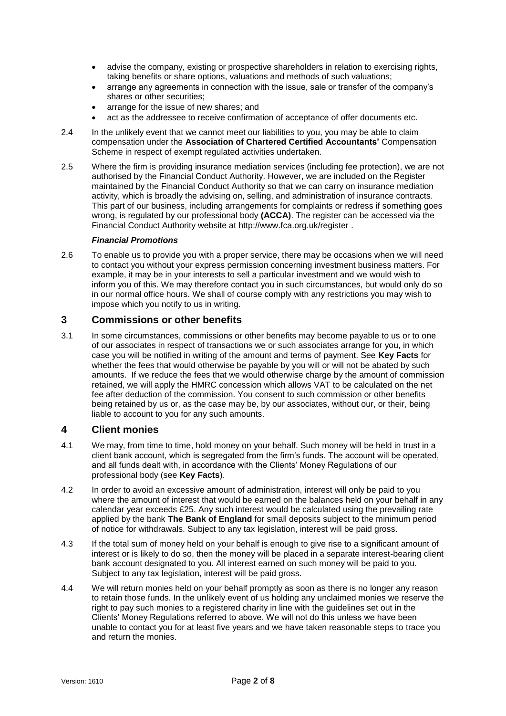- advise the company, existing or prospective shareholders in relation to exercising rights, taking benefits or share options, valuations and methods of such valuations;
- arrange any agreements in connection with the issue, sale or transfer of the company's shares or other securities;
- arrange for the issue of new shares; and
- act as the addressee to receive confirmation of acceptance of offer documents etc.
- 2.4 In the unlikely event that we cannot meet our liabilities to you, you may be able to claim compensation under the **Association of Chartered Certified Accountants'** Compensation Scheme in respect of exempt regulated activities undertaken.
- 2.5 Where the firm is providing insurance mediation services (including fee protection), we are not authorised by the Financial Conduct Authority. However, we are included on the Register maintained by the Financial Conduct Authority so that we can carry on insurance mediation activity, which is broadly the advising on, selling, and administration of insurance contracts. This part of our business, including arrangements for complaints or redress if something goes wrong, is regulated by our professional body **(ACCA)**. The register can be accessed via the Financial Conduct Authority website at http://www.fca.org.uk/register .

#### *Financial Promotions*

2.6 To enable us to provide you with a proper service, there may be occasions when we will need to contact you without your express permission concerning investment business matters. For example, it may be in your interests to sell a particular investment and we would wish to inform you of this. We may therefore contact you in such circumstances, but would only do so in our normal office hours. We shall of course comply with any restrictions you may wish to impose which you notify to us in writing.

#### **3 Commissions or other benefits**

3.1 In some circumstances, commissions or other benefits may become payable to us or to one of our associates in respect of transactions we or such associates arrange for you, in which case you will be notified in writing of the amount and terms of payment. See **Key Facts** for whether the fees that would otherwise be payable by you will or will not be abated by such amounts. If we reduce the fees that we would otherwise charge by the amount of commission retained, we will apply the HMRC concession which allows VAT to be calculated on the net fee after deduction of the commission. You consent to such commission or other benefits being retained by us or, as the case may be, by our associates, without our, or their, being liable to account to you for any such amounts.

#### **4 Client monies**

- 4.1 We may, from time to time, hold money on your behalf. Such money will be held in trust in a client bank account, which is segregated from the firm's funds. The account will be operated, and all funds dealt with, in accordance with the Clients' Money Regulations of our professional body (see **Key Facts**).
- 4.2 In order to avoid an excessive amount of administration, interest will only be paid to you where the amount of interest that would be earned on the balances held on your behalf in any calendar year exceeds £25. Any such interest would be calculated using the prevailing rate applied by the bank **The Bank of England** for small deposits subject to the minimum period of notice for withdrawals. Subject to any tax legislation, interest will be paid gross.
- 4.3 If the total sum of money held on your behalf is enough to give rise to a significant amount of interest or is likely to do so, then the money will be placed in a separate interest-bearing client bank account designated to you. All interest earned on such money will be paid to you. Subject to any tax legislation, interest will be paid gross.
- 4.4 We will return monies held on your behalf promptly as soon as there is no longer any reason to retain those funds. In the unlikely event of us holding any unclaimed monies we reserve the right to pay such monies to a registered charity in line with the guidelines set out in the Clients' Money Regulations referred to above. We will not do this unless we have been unable to contact you for at least five years and we have taken reasonable steps to trace you and return the monies.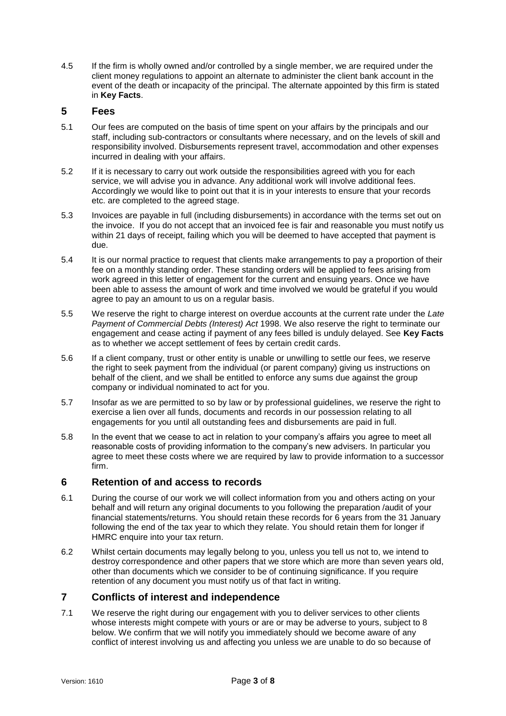4.5 If the firm is wholly owned and/or controlled by a single member, we are required under the client money regulations to appoint an alternate to administer the client bank account in the event of the death or incapacity of the principal. The alternate appointed by this firm is stated in **Key Facts**.

### **5 Fees**

- 5.1 Our fees are computed on the basis of time spent on your affairs by the principals and our staff, including sub-contractors or consultants where necessary, and on the levels of skill and responsibility involved. Disbursements represent travel, accommodation and other expenses incurred in dealing with your affairs.
- 5.2 If it is necessary to carry out work outside the responsibilities agreed with you for each service, we will advise you in advance. Any additional work will involve additional fees. Accordingly we would like to point out that it is in your interests to ensure that your records etc. are completed to the agreed stage.
- 5.3 Invoices are payable in full (including disbursements) in accordance with the terms set out on the invoice. If you do not accept that an invoiced fee is fair and reasonable you must notify us within 21 days of receipt, failing which you will be deemed to have accepted that payment is due.
- 5.4 It is our normal practice to request that clients make arrangements to pay a proportion of their fee on a monthly standing order. These standing orders will be applied to fees arising from work agreed in this letter of engagement for the current and ensuing years. Once we have been able to assess the amount of work and time involved we would be grateful if you would agree to pay an amount to us on a regular basis.
- 5.5 We reserve the right to charge interest on overdue accounts at the current rate under the *Late Payment of Commercial Debts (Interest) Act* 1998. We also reserve the right to terminate our engagement and cease acting if payment of any fees billed is unduly delayed. See **Key Facts** as to whether we accept settlement of fees by certain credit cards.
- 5.6 If a client company, trust or other entity is unable or unwilling to settle our fees, we reserve the right to seek payment from the individual (or parent company) giving us instructions on behalf of the client, and we shall be entitled to enforce any sums due against the group company or individual nominated to act for you.
- 5.7 Insofar as we are permitted to so by law or by professional guidelines, we reserve the right to exercise a lien over all funds, documents and records in our possession relating to all engagements for you until all outstanding fees and disbursements are paid in full.
- 5.8 In the event that we cease to act in relation to your company's affairs you agree to meet all reasonable costs of providing information to the company's new advisers. In particular you agree to meet these costs where we are required by law to provide information to a successor firm.

#### **6 Retention of and access to records**

- 6.1 During the course of our work we will collect information from you and others acting on your behalf and will return any original documents to you following the preparation /audit of your financial statements/returns. You should retain these records for 6 years from the 31 January following the end of the tax year to which they relate. You should retain them for longer if HMRC enquire into your tax return.
- 6.2 Whilst certain documents may legally belong to you, unless you tell us not to, we intend to destroy correspondence and other papers that we store which are more than seven years old, other than documents which we consider to be of continuing significance. If you require retention of any document you must notify us of that fact in writing.

# **7 Conflicts of interest and independence**

7.1 We reserve the right during our engagement with you to deliver services to other clients whose interests might compete with yours or are or may be adverse to yours, subject to 8 below. We confirm that we will notify you immediately should we become aware of any conflict of interest involving us and affecting you unless we are unable to do so because of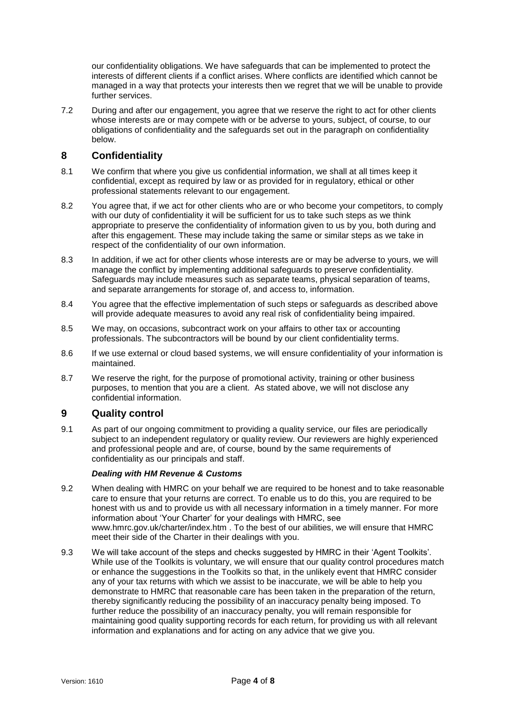our confidentiality obligations. We have safeguards that can be implemented to protect the interests of different clients if a conflict arises. Where conflicts are identified which cannot be managed in a way that protects your interests then we regret that we will be unable to provide further services.

7.2 During and after our engagement, you agree that we reserve the right to act for other clients whose interests are or may compete with or be adverse to yours, subject, of course, to our obligations of confidentiality and the safeguards set out in the paragraph on confidentiality below.

# **8 Confidentiality**

- 8.1 We confirm that where you give us confidential information, we shall at all times keep it confidential, except as required by law or as provided for in regulatory, ethical or other professional statements relevant to our engagement.
- 8.2 You agree that, if we act for other clients who are or who become your competitors, to comply with our duty of confidentiality it will be sufficient for us to take such steps as we think appropriate to preserve the confidentiality of information given to us by you, both during and after this engagement. These may include taking the same or similar steps as we take in respect of the confidentiality of our own information.
- 8.3 In addition, if we act for other clients whose interests are or may be adverse to yours, we will manage the conflict by implementing additional safeguards to preserve confidentiality. Safeguards may include measures such as separate teams, physical separation of teams, and separate arrangements for storage of, and access to, information.
- 8.4 You agree that the effective implementation of such steps or safeguards as described above will provide adequate measures to avoid any real risk of confidentiality being impaired.
- 8.5 We may, on occasions, subcontract work on your affairs to other tax or accounting professionals. The subcontractors will be bound by our client confidentiality terms.
- 8.6 If we use external or cloud based systems, we will ensure confidentiality of your information is maintained.
- 8.7 We reserve the right, for the purpose of promotional activity, training or other business purposes, to mention that you are a client. As stated above, we will not disclose any confidential information.

# **9 Quality control**

9.1 As part of our ongoing commitment to providing a quality service, our files are periodically subject to an independent regulatory or quality review. Our reviewers are highly experienced and professional people and are, of course, bound by the same requirements of confidentiality as our principals and staff.

#### *Dealing with HM Revenue & Customs*

- 9.2 When dealing with HMRC on your behalf we are required to be honest and to take reasonable care to ensure that your returns are correct. To enable us to do this, you are required to be honest with us and to provide us with all necessary information in a timely manner. For more information about 'Your Charter' for your dealings with HMRC, see www.hmrc.gov.uk/charter/index.htm . To the best of our abilities, we will ensure that HMRC meet their side of the Charter in their dealings with you.
- 9.3 We will take account of the steps and checks suggested by HMRC in their 'Agent Toolkits'. While use of the Toolkits is voluntary, we will ensure that our quality control procedures match or enhance the suggestions in the Toolkits so that, in the unlikely event that HMRC consider any of your tax returns with which we assist to be inaccurate, we will be able to help you demonstrate to HMRC that reasonable care has been taken in the preparation of the return, thereby significantly reducing the possibility of an inaccuracy penalty being imposed. To further reduce the possibility of an inaccuracy penalty, you will remain responsible for maintaining good quality supporting records for each return, for providing us with all relevant information and explanations and for acting on any advice that we give you.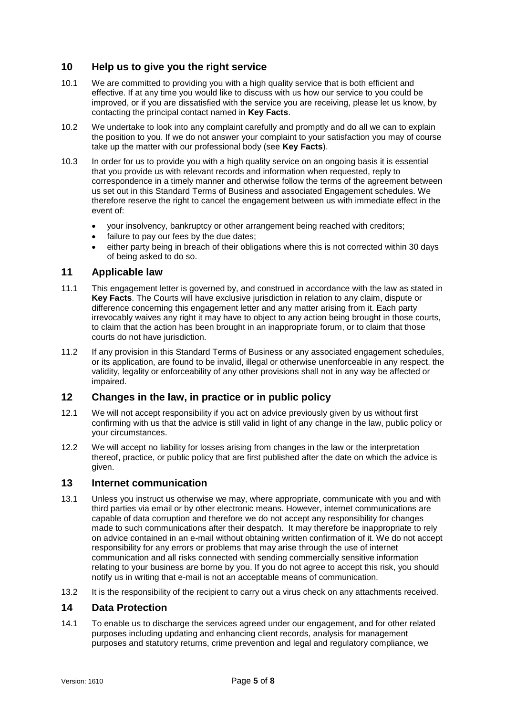# **10 Help us to give you the right service**

- 10.1 We are committed to providing you with a high quality service that is both efficient and effective. If at any time you would like to discuss with us how our service to you could be improved, or if you are dissatisfied with the service you are receiving, please let us know, by contacting the principal contact named in **Key Facts**.
- 10.2 We undertake to look into any complaint carefully and promptly and do all we can to explain the position to you. If we do not answer your complaint to your satisfaction you may of course take up the matter with our professional body (see **Key Facts**).
- 10.3 In order for us to provide you with a high quality service on an ongoing basis it is essential that you provide us with relevant records and information when requested, reply to correspondence in a timely manner and otherwise follow the terms of the agreement between us set out in this Standard Terms of Business and associated Engagement schedules. We therefore reserve the right to cancel the engagement between us with immediate effect in the event of:
	- your insolvency, bankruptcy or other arrangement being reached with creditors;
	- failure to pay our fees by the due dates;
	- either party being in breach of their obligations where this is not corrected within 30 days of being asked to do so.

#### **11 Applicable law**

- 11.1 This engagement letter is governed by, and construed in accordance with the law as stated in **Key Facts**. The Courts will have exclusive jurisdiction in relation to any claim, dispute or difference concerning this engagement letter and any matter arising from it. Each party irrevocably waives any right it may have to object to any action being brought in those courts, to claim that the action has been brought in an inappropriate forum, or to claim that those courts do not have jurisdiction.
- 11.2 If any provision in this Standard Terms of Business or any associated engagement schedules, or its application, are found to be invalid, illegal or otherwise unenforceable in any respect, the validity, legality or enforceability of any other provisions shall not in any way be affected or impaired.

# **12 Changes in the law, in practice or in public policy**

- 12.1 We will not accept responsibility if you act on advice previously given by us without first confirming with us that the advice is still valid in light of any change in the law, public policy or your circumstances.
- 12.2 We will accept no liability for losses arising from changes in the law or the interpretation thereof, practice, or public policy that are first published after the date on which the advice is given.

#### **13 Internet communication**

- 13.1 Unless you instruct us otherwise we may, where appropriate, communicate with you and with third parties via email or by other electronic means. However, internet communications are capable of data corruption and therefore we do not accept any responsibility for changes made to such communications after their despatch. It may therefore be inappropriate to rely on advice contained in an e-mail without obtaining written confirmation of it. We do not accept responsibility for any errors or problems that may arise through the use of internet communication and all risks connected with sending commercially sensitive information relating to your business are borne by you. If you do not agree to accept this risk, you should notify us in writing that e-mail is not an acceptable means of communication.
- 13.2 It is the responsibility of the recipient to carry out a virus check on any attachments received.

# **14 Data Protection**

14.1 To enable us to discharge the services agreed under our engagement, and for other related purposes including updating and enhancing client records, analysis for management purposes and statutory returns, crime prevention and legal and regulatory compliance, we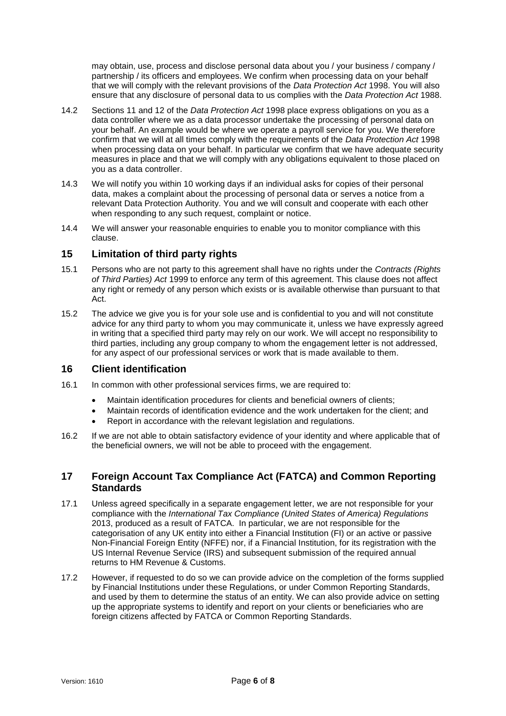may obtain, use, process and disclose personal data about you / your business / company / partnership / its officers and employees. We confirm when processing data on your behalf that we will comply with the relevant provisions of the *Data Protection Act* 1998. You will also ensure that any disclosure of personal data to us complies with the *Data Protection Act* 1988.

- 14.2 Sections 11 and 12 of the *Data Protection Act* 1998 place express obligations on you as a data controller where we as a data processor undertake the processing of personal data on your behalf. An example would be where we operate a payroll service for you. We therefore confirm that we will at all times comply with the requirements of the *Data Protection Act* 1998 when processing data on your behalf. In particular we confirm that we have adequate security measures in place and that we will comply with any obligations equivalent to those placed on you as a data controller.
- 14.3 We will notify you within 10 working days if an individual asks for copies of their personal data, makes a complaint about the processing of personal data or serves a notice from a relevant Data Protection Authority. You and we will consult and cooperate with each other when responding to any such request, complaint or notice.
- 14.4 We will answer your reasonable enquiries to enable you to monitor compliance with this clause.

# **15 Limitation of third party rights**

- 15.1 Persons who are not party to this agreement shall have no rights under the *Contracts (Rights of Third Parties) Act* 1999 to enforce any term of this agreement. This clause does not affect any right or remedy of any person which exists or is available otherwise than pursuant to that Act.
- 15.2 The advice we give you is for your sole use and is confidential to you and will not constitute advice for any third party to whom you may communicate it, unless we have expressly agreed in writing that a specified third party may rely on our work. We will accept no responsibility to third parties, including any group company to whom the engagement letter is not addressed, for any aspect of our professional services or work that is made available to them.

#### **16 Client identification**

- 16.1 In common with other professional services firms, we are required to:
	- Maintain identification procedures for clients and beneficial owners of clients;
	- Maintain records of identification evidence and the work undertaken for the client; and
	- Report in accordance with the relevant legislation and regulations.
- 16.2 If we are not able to obtain satisfactory evidence of your identity and where applicable that of the beneficial owners, we will not be able to proceed with the engagement.

# **17 Foreign Account Tax Compliance Act (FATCA) and Common Reporting Standards**

- 17.1 Unless agreed specifically in a separate engagement letter, we are not responsible for your compliance with the *International Tax Compliance (United States of America) Regulations* 2013, produced as a result of FATCA. In particular, we are not responsible for the categorisation of any UK entity into either a Financial Institution (FI) or an active or passive Non-Financial Foreign Entity (NFFE) nor, if a Financial Institution, for its registration with the US Internal Revenue Service (IRS) and subsequent submission of the required annual returns to HM Revenue & Customs.
- 17.2 However, if requested to do so we can provide advice on the completion of the forms supplied by Financial Institutions under these Regulations, or under Common Reporting Standards, and used by them to determine the status of an entity. We can also provide advice on setting up the appropriate systems to identify and report on your clients or beneficiaries who are foreign citizens affected by FATCA or Common Reporting Standards.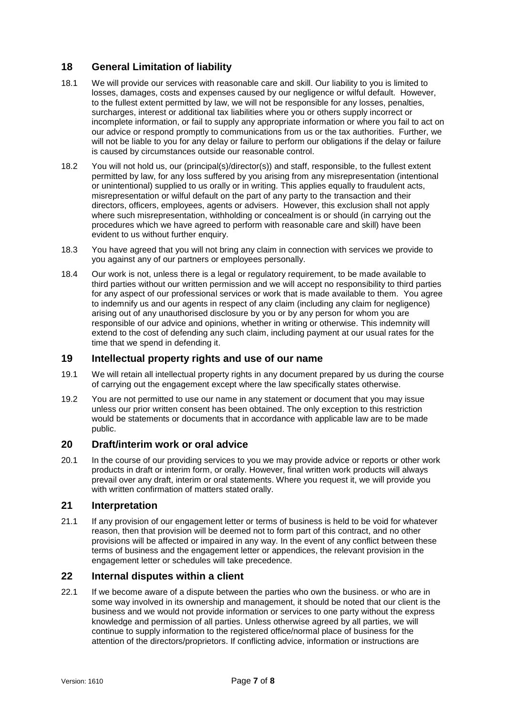# **18 General Limitation of liability**

- 18.1 We will provide our services with reasonable care and skill. Our liability to you is limited to losses, damages, costs and expenses caused by our negligence or wilful default. However, to the fullest extent permitted by law, we will not be responsible for any losses, penalties, surcharges, interest or additional tax liabilities where you or others supply incorrect or incomplete information, or fail to supply any appropriate information or where you fail to act on our advice or respond promptly to communications from us or the tax authorities. Further, we will not be liable to you for any delay or failure to perform our obligations if the delay or failure is caused by circumstances outside our reasonable control.
- 18.2 You will not hold us, our (principal(s)/director(s)) and staff, responsible, to the fullest extent permitted by law, for any loss suffered by you arising from any misrepresentation (intentional or unintentional) supplied to us orally or in writing. This applies equally to fraudulent acts, misrepresentation or wilful default on the part of any party to the transaction and their directors, officers, employees, agents or advisers. However, this exclusion shall not apply where such misrepresentation, withholding or concealment is or should (in carrying out the procedures which we have agreed to perform with reasonable care and skill) have been evident to us without further enquiry.
- 18.3 You have agreed that you will not bring any claim in connection with services we provide to you against any of our partners or employees personally.
- 18.4 Our work is not, unless there is a legal or regulatory requirement, to be made available to third parties without our written permission and we will accept no responsibility to third parties for any aspect of our professional services or work that is made available to them. You agree to indemnify us and our agents in respect of any claim (including any claim for negligence) arising out of any unauthorised disclosure by you or by any person for whom you are responsible of our advice and opinions, whether in writing or otherwise. This indemnity will extend to the cost of defending any such claim, including payment at our usual rates for the time that we spend in defending it.

#### **19 Intellectual property rights and use of our name**

- 19.1 We will retain all intellectual property rights in any document prepared by us during the course of carrying out the engagement except where the law specifically states otherwise.
- 19.2 You are not permitted to use our name in any statement or document that you may issue unless our prior written consent has been obtained. The only exception to this restriction would be statements or documents that in accordance with applicable law are to be made public.

# **20 Draft/interim work or oral advice**

20.1 In the course of our providing services to you we may provide advice or reports or other work products in draft or interim form, or orally. However, final written work products will always prevail over any draft, interim or oral statements. Where you request it, we will provide you with written confirmation of matters stated orally.

#### **21 Interpretation**

21.1 If any provision of our engagement letter or terms of business is held to be void for whatever reason, then that provision will be deemed not to form part of this contract, and no other provisions will be affected or impaired in any way. In the event of any conflict between these terms of business and the engagement letter or appendices, the relevant provision in the engagement letter or schedules will take precedence.

#### **22 Internal disputes within a client**

22.1 If we become aware of a dispute between the parties who own the business. or who are in some way involved in its ownership and management, it should be noted that our client is the business and we would not provide information or services to one party without the express knowledge and permission of all parties. Unless otherwise agreed by all parties, we will continue to supply information to the registered office/normal place of business for the attention of the directors/proprietors. If conflicting advice, information or instructions are